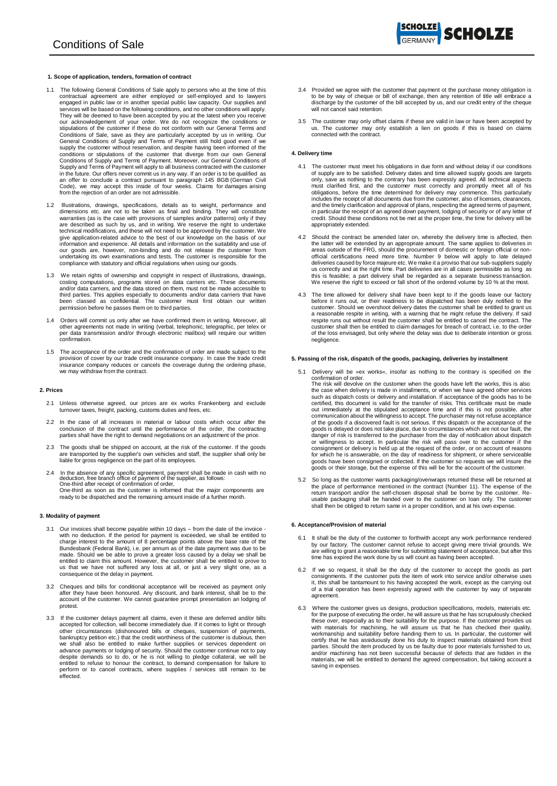- 1.1 The following General Conditions of Sale apply to persons who at the time of this contractual agreement are either employed or self-employed and to lawyers engaged in public law or in another special public law capacity. Our supplies and services will be based on the following conditions, and no other conditions will apply.<br>They will be deemed to have been accepted by you at the latest when you receive<br>our acknowledgement of your order. We do not recognize Conditions of Sale, save as they are particularly accepted by us in writing. Our General Conditions of Supply and Terms of Payment still hold good even if we supply the customer without reservation, and despite having been informed of the<br>conditions or stipulations of the customer that diverge from our own General<br>Conditions of Supply and Terms of Payment. Moreover, our General Supply and Terms of Payment will apply to all business contracted with the customer in the future. Our offers never commit us in any way. If an order is to be qualified as an offer to conclude a contract pursuant to paragraph 145 BGB (German Civil Code), we may accept this inside of four weeks. Claims for damages arising from the rejection of an order are not admissible.
- 1.2 lllustrations, drawings, specifications, details as to weight, performance and dimensions etc. are not to be taken as final and binding. They will constitute warranties (as is the case with provisions of samples and/or patterns) only if they<br>are described as such by us, and in writing. We reserve the right to undertake<br>technical modifications, and these will not need to be appr give application-related advice to the best of our knowledge on the basis of our information and experience. All details and information on the suitability and use of our goods are, however, non-binding and do not release the customer from undertaking its own examinations and tests. The customer is responsible for the compliance with statutory and official regulations when using our goods.
- 1.3 We retain rights of ownership and copyright in respect of illustrations, drawings, costing computations, programs stored on data carriers etc. These documents and/or data carriers, and the data stored on them, must not be made accessible to third parties. This applies especially to documents and/or data carriers that have been classed as confidential. The customer must first obtain our written permission before he passes them on to third parties.
- 1.4 Orders will commit us only after we have confirmed them in writing. Moreover, all other agreements not made in writing (verbal, telephonic, telegraphic, per telex or per data transmission and/or through electronic mailbox) will require our written confirmation.
- 1.5 The acceptance of the order and the confirmation of order are made subject to the provision of cover by our trade credit insurance company. In case the trade credit insurance company reduces or cancels the coverage during the ordering phase, we may withdraw from the contract.

## **2. Prices**

- 2.1 Unless otherwise agreed, our prices are ex works Frankenberg and exclude turnover taxes, freight, packing, customs duties and fees, etc.
- 2.2 In the case of all increases in material or labour costs which occur after the conclusion of the contract until the performance of the order, the contracting parties shall have the right to demand negotiations on an adjustment of the price.
- 2.3 The goods shall be shipped on account, at the risk of the customer. If the goods are transported by the supplier's own vehicles and staff, the supplier shall only be liable for gross negligence on the part of its employees.
- 2.4 In the absence of any specific agreement, payment shall be made in cash with no deduction, free branch office of payment of the supplier, as follows: One-third after receipt of confirmation of order, One-third as soon as the customer is informed that the major components are ready to be dispatched and the remaining amount inside of a further month.

### **3. Modality of payment**

- 3.1 Our invoices shall become payable within 10 days from the date of the invoice with no deduction. If the period for payment is exceeded, we shall be entitled to<br>charge interest to the amount of 8 percentage points above the base rate of the<br>Bundesbank (Federal Bank), i.e. per annum as of the date pay made. Should we be able to prove a greater loss caused by a delay we shall be entitled to claim this amount. However, the customer shall be entitled to prove to us that we have not suffered any loss at all, or just a very slight one, as a consequence ot the delay in payment.
- 3.2 Cheques and bills for conditional acceptance will be received as payment only after they have been honoured. Any discount, and bank interest, shall be to the account of the customer. We cannot guarantee prompt presentation an lodging of protest.
- 3.3 If the customer delays payment all claims, even it these are deferred and/or bills accepted for collection, will become immediately due. If it comes to light or through other circumstances (dishonoured bills or cheques, suspension of payments, bankruptcy petition etc.) that the credit worthiness of the customer is dubious, then<br>we shall also be entitled to make further supplies or services dependent on<br>advance payments or lodging of security. Should the customer despite demands so to do, or he is not willing to pledge collateral, we will be entitled to refuse to honour the contract, to demand compensation for failure to perform or to cancel contracts, where supplies / services still remain to be effected.
- 3.4 Provided we agree with the customer that payment ot the purchase money obligation is to be by way of cheque or bill of exchange, then any retention of title will embrace a discharge by the customer of the bill accepted by us, and our credit entry of the cheque will not cancel said retention.
- 3.5 The customer may only offset claims if these are valid in law or have been accepted by us. The customer may only establish a lien on goods if this is based on claims connected with the contract.

#### **4. Delivery time**

- 4.1 The customer must meet his obligations in due form and without delay if our conditions<br>of supply are to be satisfied. Delivery dates and time allowed supply goods are targets<br>only, save as nothing to the contrary has b and the timely clarification and approval of plans, respecting the agreed terms of payment, in particular the receipt of an agreed down payment, lodging of security or of any letter of credit. Should these conditions not be met at the proper time, the time for delivery will be appropriately extended.
- 4.2 Should the contract be amended later on, whereby the delivery time is affected, then<br>the latter will be extended by an appropriate armount. The same applies to deliveries in<br>areas outside of the FRG, should the procure us correctly and at the right time. Part deliveries are in all cases permissible as long as this is feasible; a part delivery shall be regarded as a separate business transaction. We reserve the right to exceed or fall short of the ordered volume by 10 % at the most.
- 4.3 The time allowed for delivery shall have been kept to if the goods leave our factory<br>before it runs out, or their readiness to be dispatched has been duly notified to the<br>customer. Should we overshoot delivery dates th respite runs out without result the customer shall be entitled to cancel the contract. The customer shall then be entitled to claim damages for breach of contract, i.e. to the order of the loss envisaged, but only where the delay was due to deliberate intention or gross negligence.

# **5. Passing of the risk, dispatch of the goods, packaging, deliveries by installment**

- 5.1 Delivery will be »ex works«, insofar as nothing to the contrary is specified on the confirmation of order. The risk will devolve on the customer when the goods have left the works, this is also the case when delivery is made in installments, or when we have agreed other services such as dispatch costs or delivery and installation. If acceptance of the goods has to be certified, this document is valid for the transfer of risks. This certificate must be made out immediately at the stipulated acceptance time and if this is not possible, after communication about the willingness to accept. The purchaser may not refuse acceptance of the goods if a discovered fault is not serious. If this dispatch or the acceptance of the goods is delayed or does not take place, due to circumstances which are not our fault, the danger of risk is transferred to the purchaser from the day of notification about dispatch or willingness to accept. In particular the risk will pass over to the customer if the consignment or delivery is held up at the request of the order, or on account of reasons for which he is answerable, on the day of readiness for shipment, or where serviceable goods have been consigned or collected. If the customer so requests we will insure the goods or their storage, but the expense of this will be for the account of the customer.
- 5.2 So long as the customer wants packaging/ovenwraps returned these will be returned at the place of performance mentioned in the contract (Number 11). The expense of the return transport and/or the self-chosen disposal shall be borne by the customer. Reusable packaging shall be handed over to the customer on loan only. The customer shall then be obliged to return same in a proper condition, and at his own expense.

## **6. Acceptance/Provision of material**

- 6.1 It shall be the duty of the customer to forthwith accept any work performance rendered by our factory. The customer cannot refuse to accept giving mere trivial grounds. We are willing to grant a reasonable time for submitting statement of acceptance, but after this time has expired the work done by us will count as having been accepted.
- 6.2 If we so request, it shall be the duty of the customer to accept the goods as part consignments. If the customer puts the item of work into service and/or otherwise uses it, this shall be tantamount to his having accepted the work, except as the carrying out of a trial operation has been expressly agreed with the customer by way of separate agreement.
- 6.3 Where the customer gives us designs, production specifications, models, materials etc. for the purpose of executing the order, he will assure us that he has scrupulously checked<br>these over, especially as to their suitability for the purpose. If the customer provides us<br>with materials for machining, he will a certify that he has assiduously done his duty to inspect materials obtained from third<br>parties. Should the item produced by us be faulty due to poor materials furnished to us,<br>and/or machining has not been successful becau materials, we will be entitled to demand the agreed compensation, but taking account a saving in expenses.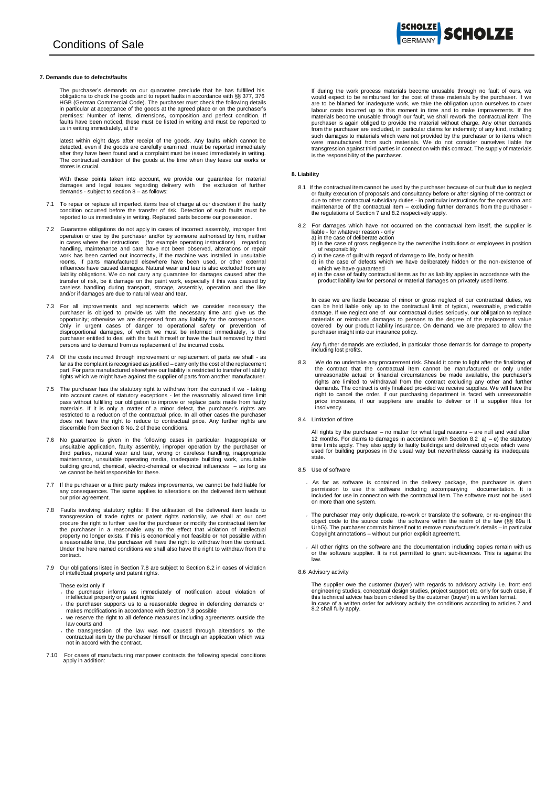#### **7. Demands due to defects/faults**

The purchaser's demands on our quarantee preclude that he has fulfilled his<br>obligations to check the goods and to report faults in accordance with §§ 377, 376<br>HGB (German Commercial Code). The purchaser must check the foll in particular at acceptance of the goods at the agreed place or on the purchaser's premises: Number of items, dimensions, composition and perfect condition. If faults have been noticed, these must be listed in writing and must be reported to us in writing immediately, at the

latest within eight days after receipt of the goods. Any faults which cannot be<br>detected, even if the goods are carefully examined, must be reported immediately<br>after they have been found and a complaint must be issued imm The contractual condition of the goods at the time when they leave our works or stores is crucial.

With these points taken into account, we provide our guarantee for material damages and legal issues regarding delivery with the exclusion of further demands - subject to section 8 – as follows:

- 7.1 To repair or replace all imperfect items free of charge at our discretion if the faulty condition occurred before the transfer of risk. Detection of such faults must be reported to us immediately in writing. Replaced parts become our possession.
- 7.2 Guarantee obligations do not apply in cases of incorrect assembly, improper first operation or use by the purchaser and/or by someone authorised by him, neither in cases where the instructions (for example operating in work has been carried out incorrectly, if the machine was installed in unsuitable rooms, if parts manufactured elsewhere have been used, or other external influences have caused damages. Natural wear and tear is also excluded from any liability obligations. We do not carry any guarantee for damages caused after the transfer of risk, be it damage on the paint work, especially if this was caused by careless handling during transport, storage, assembly, operation and the like and/or if damages are due to natural wear and tear.
- 7.3 For all improvements and replacements which we consider necessary the purchaser is obliged to provide us with the necessary time and give us the opportunity; otherwise we are dispensed from any liability for the conseq persons and to demand from us replacement of the incurred costs.
- 7.4 Of the costs incurred through improvement or replacement of parts we shall as far as the complaint is recognised as justified – carry only the cost of the replacement part. For parts manufactured elsewhere our liability is restricted to transfer of liability .<br>rights which we might have against the supplier of parts from another manufacture
- 7.5 The purchaser has the statutory right to withdraw from the contract if we taking into account cases of statutory exceptions let the reasonably allowed time limit pass without fulfilling our obligation to improve or replace parts made from faulty materials. If it is only a matter of a minor defect, the purchaser's rights are restricted to a reduction of the contractual price. In all other cases the purchaser does not have the right to reduce to contractual price. Any further rights are discernible from Section 8 No. 2 of these conditions.
- 7.6 No guarantee is given in the following cases in particular: Inappropriate or unsuitable application, faulty assembly, improper operation by the purchaser or<br>third parties, natural wear and tear, wrong or careless handling, inappropriate<br>maintenance, unsuitable operating media, inadequate building w building ground, chemical, electro-chemical or electrical influences – as long as we cannot be held responsible for these.
- 7.7 If the purchaser or a third party makes improvements, we cannot be held liable for any consequences. The same applies to alterations on the delivered item without our prior agreement.
- 7.8 Faults involving statutory rights: If the utilisation of the delivered item leads to transgression of trade rights or patent rights nationally, we shall at our cost procure the right of urther use for the purchaser or property no longer exists. If this is economically not feasible or not possible within a reasonable time, the purchaser will have the right to withdraw from the contract. Under the here named conditions we shall also have the right to withdraw from the contract.
- 7.9 Our obligations listed in Section 7.8 are subject to Section 8.2 in cases of violation of intellectual property and patent rights.

These exist only if

- the purchaser informs us immediately of notification about violation of intellectual property or patent rights
- the purchaser supports us to a reasonable degree in defending demands or makes modifications in accordance with Section 7.8 possible
- we reserve the right to all defence measures including agreements outside the law courts and
- the transgression of the law was not caused through alterations to the contractual item by the purchaser himself or through an application which was not in accord with the contract.
- 7.10 For cases of manufacturing manpower contracts the following special conditions apply in addition:

If during the work process materials become unusable through no fault of ours, we would expect to be reimbursed for the cost of these materials by the purchaser. If we are to be blamed for inadequate work, we take the obligation upon ourselves to cover labour costs incurred up to this moment in time and to make improvements. If the materials become unusable through our fault, we shall rework the contractual item. The purchaser is again obliged to provide the material without charge. Any other demands from the purchaser are excluded, in particular claims for indemnity of any kind, including<br>such damages to materials which were not provided by the purchaser or to items which<br>were manufactured from such materials. We transgression against third parties in connection with this contract. The supply of materials is the responsibility of the purchaser.

# **8. Liability**

- 8.1 If the contractual item cannot be used by the purchaser because of our fault due to neglect<br>or faulty execution of proposals and consultancy before or after signing of the contract or due to other contractual subsidiary duties - in particular instructions for the operation and<br>maintenance of the contractual item – excluding further demands from the purchaser<br>the regulations of Section 7 and 8.2 respecti
- 8.2 For damages which have not occurred on the contractual item itself, the supplier is liable - for whatever reason - only
	- a) in the case of deliberate action<br>b) in the case of gross negligence by the owner/the institutions or employees in position<br>of responsibility
	-
	- c) in the case of guilt with regard of damage to life, body or health d) in the case of defects which we have deliberately hidden or the non-existence of
	- which we have guaranteed<br>e) in the case of faulty contractual items as far as liability applies in accordance with the<br>product liability law for personal or material damages on privately used items.

In case we are liable because of minor or gross neglect of our contractual duties, we can be held liable only up to the contractual limit of typical, reasonable, predictable damage. If we neglect one of our contractual duties seriously, our obligation to replace<br>materials or reimburse damages to persons to the degree of the replacement value<br>covered by our product liability insurance. On deman purchaser insight into our insurance policy.

Any further demands are excluded, in particular those demands for damage to property including lost profits.

- 8.3 We do no undertake any procurement risk. Should it come to light after the finalizing of<br>the contract that the contractual item cannot be manufactured or only under<br>unreasonable actual or financial circumstances be mad rights are limited to withdrawal from the contract excluding any other and further demands. The contract is only finalized provided we receive supplies. We will have the right to cancel the order, if our purchasing department is faced with unreasonable price increases, if our suppliers are unable to deliver or if a supplier files for insolvency*.*
- 8.4 Limitation of time

All rights by the purchaser – no matter for what legal reasons – are null and void after 12 months. For claims to damages in accordance with Section 8.2 a) – e) the statutory<br>time limits apply. They also apply to faulty buildings and delivered objects which were<br>used for building purposes in the usual way but state.

- 8.5 Use of software
	- As far as software is contained in the delivery package, the purchaser is given permission to use this software including accompanying documentation. It is included for use in connection with the contractual item. The software must not be used on more than one system.
	- The purchaser may only duplicate, re-work or translate the software, or re-engineer the object code to the source code the software within the realm of the law (§§ 69a ff. UrhG). The purchaser commits himself not to remove manufacturer's details – in particular Copyright annotations – without our prior explicit agreement.
	- All other rights on the software and the documentation including copies remain with us or the software supplier. It is not permitted to grant sub-licences. This is against the law.
- 8.6 Advisory activity
	- The supplier owe the customer (buyer) with regards to advisory activity i.e. front end engineering studies, conceptual design studies, project support etc. only for such case, if this technical advice has been ordered by the customer (buyer) in a written format. In case of a written order for advisory activity the conditions according to articles 7 and 8.2 shall fully apply.